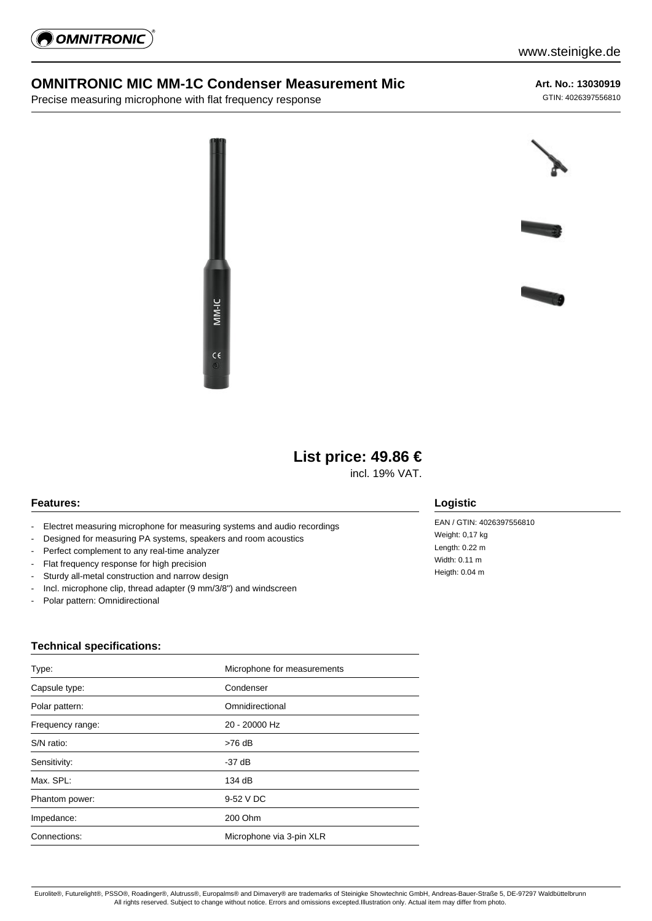

### **OMNITRONIC MIC MM-1C Condenser Measurement Mic**

Precise measuring microphone with flat frequency response

**Art. No.: 13030919** GTIN: 4026397556810





# **List price: 49.86 €**

incl. 19% VAT.

#### **Features:**

- Electret measuring microphone for measuring systems and audio recordings
- Designed for measuring PA systems, speakers and room acoustics
- Perfect complement to any real-time analyzer
- Flat frequency response for high precision
- Sturdy all-metal construction and narrow design
- Incl. microphone clip, thread adapter (9 mm/3/8") and windscreen
- Polar pattern: Omnidirectional

#### **Technical specifications:**

| Type:            | Microphone for measurements |
|------------------|-----------------------------|
| Capsule type:    | Condenser                   |
| Polar pattern:   | Omnidirectional             |
| Frequency range: | 20 - 20000 Hz               |
| S/N ratio:       | $>76$ dB                    |
| Sensitivity:     | -37 dB                      |
| Max. SPL:        | 134 dB                      |
| Phantom power:   | 9-52 V DC                   |
| Impedance:       | 200 Ohm                     |
| Connections:     | Microphone via 3-pin XLR    |

## **Logistic**

EAN / GTIN: 4026397556810 Weight: 0,17 kg Length: 0.22 m Width: 0.11 m Heigth: 0.04 m

Eurolite®, Futurelight®, PSSO®, Roadinger®, Alutruss®, Europalms® and Dimavery® are trademarks of Steinigke Showtechnic GmbH, Andreas-Bauer-Straße 5, DE-97297 Waldbüttelbrunn All rights reserved. Subject to change without notice. Errors and omissions excepted.Illustration only. Actual item may differ from photo.